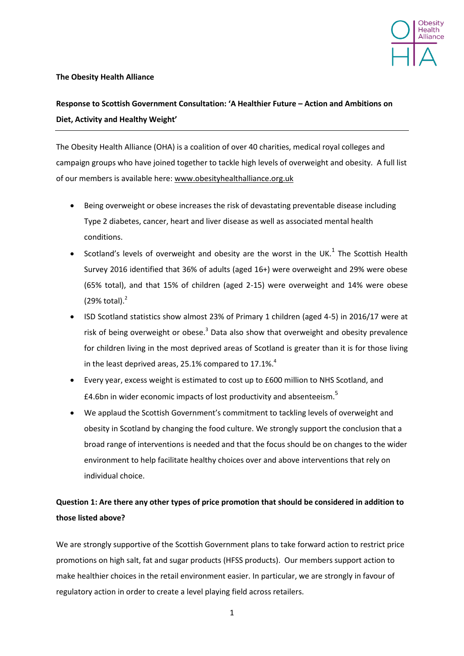

### **The Obesity Health Alliance**

# **Response to Scottish Government Consultation: 'A Healthier Future – Action and Ambitions on Diet, Activity and Healthy Weight'**

The Obesity Health Alliance (OHA) is a coalition of over 40 charities, medical royal colleges and campaign groups who have joined together to tackle high levels of overweight and obesity. A full list of our members is available here: [www.obesityhealthalliance.org.uk](http://www.obesityhealthalliance.org.uk/)

- Being overweight or obese increases the risk of devastating preventable disease including Type 2 diabetes, cancer, heart and liver disease as well as associated mental health conditions.
- Scotland's levels of overweight and obesity are the worst in the UK. $1$  The Scottish Health Survey 2016 identified that 36% of adults (aged 16+) were overweight and 29% were obese (65% total), and that 15% of children (aged 2-15) were overweight and 14% were obese (29% total). $<sup>2</sup>$ </sup>
- ISD Scotland statistics show almost 23% of Primary 1 children (aged 4-5) in 2016/17 were at risk of being overweight or obese. $3$  Data also show that overweight and obesity prevalence for children living in the most deprived areas of Scotland is greater than it is for those living in the least deprived areas, 25.1% compared to 17.1%.<sup>4</sup>
- Every year, excess weight is estimated to cost up to £600 million to NHS Scotland, and £4.6bn in wider economic impacts of lost productivity and absenteeism.<sup>5</sup>
- We applaud the Scottish Government's commitment to tackling levels of overweight and obesity in Scotland by changing the food culture. We strongly support the conclusion that a broad range of interventions is needed and that the focus should be on changes to the wider environment to help facilitate healthy choices over and above interventions that rely on individual choice.

## **Question 1: Are there any other types of price promotion that should be considered in addition to those listed above?**

We are strongly supportive of the Scottish Government plans to take forward action to restrict price promotions on high salt, fat and sugar products (HFSS products). Our members support action to make healthier choices in the retail environment easier. In particular, we are strongly in favour of regulatory action in order to create a level playing field across retailers.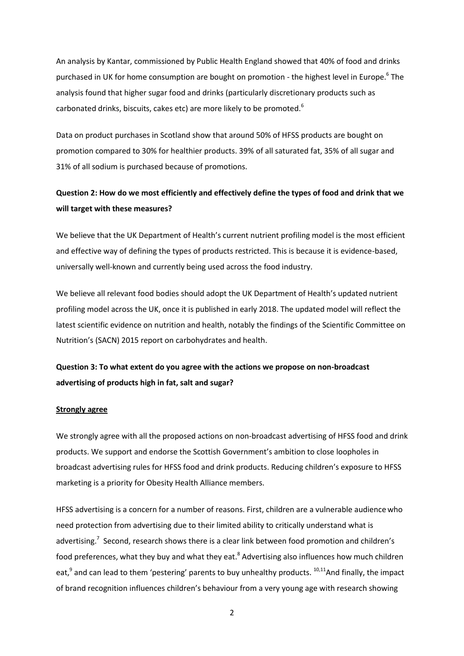<span id="page-1-0"></span>An analysis by Kantar, commissioned by Public Health England showed that 40% of food and drinks purchased in UK for home consumption are bought on promotion - the highest level in Europe.<sup>6</sup> The analysis found that higher sugar food and drinks (particularly discretionary products such as carbonated drinks, biscuits, cakes etc) are more likely to be promoted.<sup>[6](#page-1-0)</sup>

Data on product purchases in Scotland show that around 50% of HFSS products are bought on promotion compared to 30% for healthier products. 39% of all saturated fat, 35% of all sugar and 31% of all sodium is purchased because of promotions.

## **Question 2: How do we most efficiently and effectively define the types of food and drink that we will target with these measures?**

We believe that the UK Department of Health's current nutrient profiling model is the most efficient and effective way of defining the types of products restricted. This is because it is evidence-based, universally well-known and currently being used across the food industry.

We believe all relevant food bodies should adopt the UK Department of Health's updated nutrient profiling model across the UK, once it is published in early 2018. The updated model will reflect the latest scientific evidence on nutrition and health, notably the findings of the Scientific Committee on Nutrition's (SACN) 2015 report on carbohydrates and health.

### **Question 3: To what extent do you agree with the actions we propose on non-broadcast advertising of products high in fat, salt and sugar?**

#### **Strongly agree**

We strongly agree with all the proposed actions on non-broadcast advertising of HFSS food and drink products. We support and endorse the Scottish Government's ambition to close loopholes in broadcast advertising rules for HFSS food and drink products. Reducing children's exposure to HFSS marketing is a priority for Obesity Health Alliance members.

HFSS advertising is a concern for a number of reasons. First, children are a vulnerable audience who need protection from advertising due to their limited ability to critically understand what is advertising.<sup>7</sup> Second, research shows there is a clear link between food promotion and children's food preferences, what they buy and what they eat.<sup>8</sup> Advertising also influences how much children eat,<sup>9</sup> and can lead to them 'pestering' parents to buy unhealthy products. <sup>10,11</sup>And finally, the impact of brand recognition influences children's behaviour from a very young age with research showing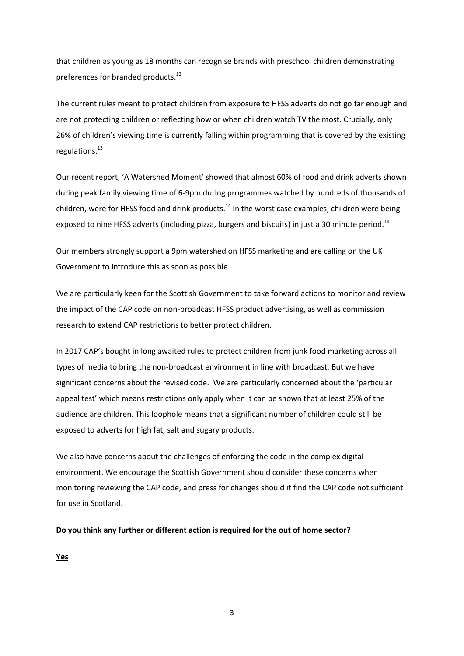that children as young as 18 months can recognise brands with preschool children demonstrating preferences for branded products.<sup>12</sup>

The current rules meant to protect children from exposure to HFSS adverts do not go far enough and are not protecting children or reflecting how or when children watch TV the most. Crucially, only 26% of children's viewing time is currently falling within programming that is covered by the existing regulations.<sup>13</sup>

<span id="page-2-0"></span>Our recent report, 'A Watershed Moment' showed that almost 60% of food and drink adverts shown during peak family viewing time of 6-9pm during programmes watched by hundreds of thousands of children, were for HFSS food and drink products.<sup>14</sup> In the worst case examples, children were being exposed to nine HFSS adverts (including pizza, burgers and biscuits) in just a 30 minute period.<sup>[14](#page-2-0)</sup>

Our members strongly support a 9pm watershed on HFSS marketing and are calling on the UK Government to introduce this as soon as possible.

We are particularly keen for the Scottish Government to take forward actions to monitor and review the impact of the CAP code on non-broadcast HFSS product advertising, as well as commission research to extend CAP restrictions to better protect children.

In 2017 CAP's bought in long awaited rules to protect children from junk food marketing across all types of media to bring the non-broadcast environment in line with broadcast. But we have significant concerns about the revised code. We are particularly concerned about the 'particular appeal test' which means restrictions only apply when it can be shown that at least 25% of the audience are children. This loophole means that a significant number of children could still be exposed to adverts for high fat, salt and sugary products.

We also have concerns about the challenges of enforcing the code in the complex digital environment. We encourage the Scottish Government should consider these concerns when monitoring reviewing the CAP code, and press for changes should it find the CAP code not sufficient for use in Scotland.

**Do you think any further or different action is required for the out of home sector?** 

**Yes** 

3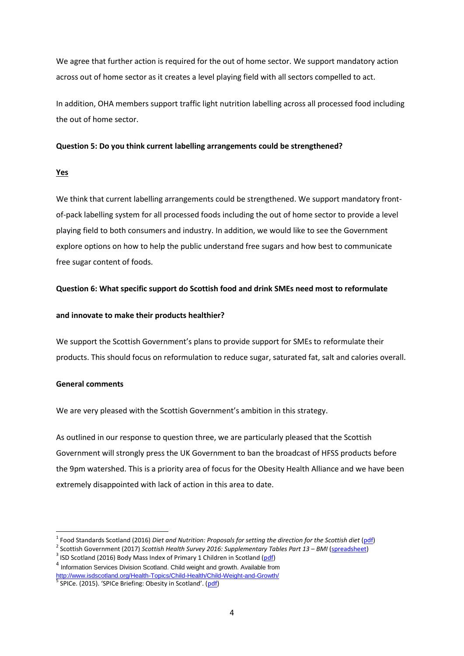We agree that further action is required for the out of home sector. We support mandatory action across out of home sector as it creates a level playing field with all sectors compelled to act.

In addition, OHA members support traffic light nutrition labelling across all processed food including the out of home sector.

#### **Question 5: Do you think current labelling arrangements could be strengthened?**

### **Yes**

We think that current labelling arrangements could be strengthened. We support mandatory frontof-pack labelling system for all processed foods including the out of home sector to provide a level playing field to both consumers and industry. In addition, we would like to see the Government explore options on how to help the public understand free sugars and how best to communicate free sugar content of foods.

### **Question 6: What specific support do Scottish food and drink SMEs need most to reformulate**

### **and innovate to make their products healthier?**

We support the Scottish Government's plans to provide support for SMEs to reformulate their products. This should focus on reformulation to reduce sugar, saturated fat, salt and calories overall.

#### **General comments**

1

We are very pleased with the Scottish Government's ambition in this strategy.

As outlined in our response to question three, we are particularly pleased that the Scottish Government will strongly press the UK Government to ban the broadcast of HFSS products before the 9pm watershed. This is a priority area of focus for the Obesity Health Alliance and we have been extremely disappointed with lack of action in this area to date.

<sup>&</sup>lt;sup>1</sup> Food Standards Scotland (2016) *Diet and Nutrition: Proposals for setting the direction for the Scottish diet* [\(pdf\)](http://www.foodstandards.gov.scot/sites/default/files/Board%20meeting%20-%202016%20January%2020%20-%20Diet%20and%20Nutrition%20Proposals%20for%20setting%20the%20direction%20for%20the%20Scottish%20Diet%20160104.pdf)

<sup>&</sup>lt;sup>2</sup> Scottish Government (2017) *Scottish Health Survey 2016: Supplementary Tables Part 13 – BMI* [\(spreadsheet\)](http://www.gov.scot/Resource/0052/00525582.xls)

<sup>&</sup>lt;sup>3</sup> ISD Scotland (2016) Body Mass Index of Primary 1 Children in Scotland (*pdf*)

<sup>&</sup>lt;sup>4</sup> Information Services Division Scotland. Child weight and growth. Available from <http://www.isdscotland.org/Health-Topics/Child-Health/Child-Weight-and-Growth/> 5 SPICe. (2015). 'SPICe Briefing: Obesity in Scotland'. ([pdf\)](http://www.parliament.scot/ResearchBriefingsAndFactsheets/S4/SB_15-01_Obesity_in_Scotland.pdf)